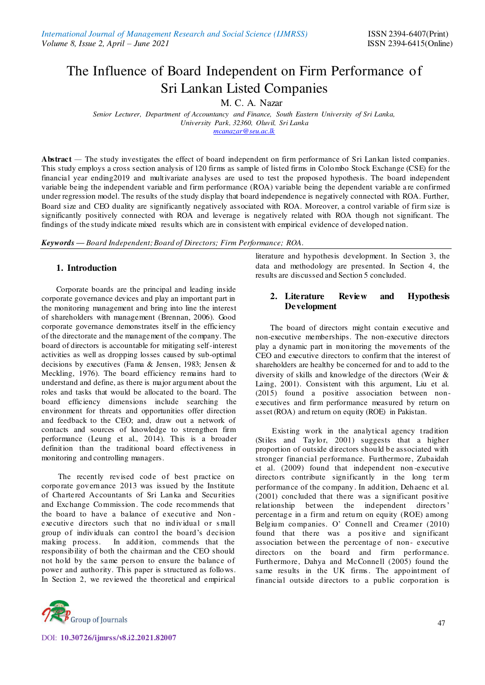# The Influence of Board Independent on Firm Performance of Sri Lankan Listed Companies

M. C. A. Nazar

*Senior Lecturer, Department of Accountancy and Finance, South Eastern University of Sri Lanka, University Park, 32360, Oluvil, Sri Lanka [mcanazar@seu.ac.lk](mailto:mcanazar@seu.ac.lk)*

**Abstract** *—* The study investigates the effect of board independent on firm performance of Sri Lankan listed companies. This study employs a cross section analysis of 120 firms as sample of listed firms in Colombo Stock Exchange (CSE) for the financial year ending2019 and multivariate analyses are used to test the proposed hypothesis. The board independent variable being the independent variable and firm performance (ROA) variable being the dependent variable a re confirmed under regression model. The results of the study display that board independence is negatively connected with ROA. Further, Board size and CEO duality are significantly negatively associated with ROA. Moreover, a control variable of firm size is significantly positively connected with ROA and leverage is negatively related with ROA though not significant. The findings of the study indicate mixed results which are in consistent with empirical evidence of developed nation.

*Keywords — Board Independent; Board of Directors; Firm Performance; ROA.* 

# **1. Introduction**

Corporate boards are the principal and leading inside corporate governance devices and play an important part in the monitoring management and bring into line the interest of shareholders with management (Brennan, 2006). Good corporate governance demonstrates itself in the efficiency of the directorate and the management of the company. The board of directors is accountable for mitigating self-interest activities as well as dropping losses caused by sub-optimal decisions by executives (Fama & Jensen, 1983; Jensen & Meckling, 1976). The board efficiency remains hard to understand and define, as there is major argument about the roles and tasks that would be allocated to the board. The board efficiency dimensions include searching the environment for threats and opportunities offer direction and feedback to the CEO; and, draw out a network of contacts and sources of knowledge to strengthen firm performance (Leung et al., 2014). This is a broader definition than the traditional board effectiveness in monitoring and controlling managers.

The recently revised code of best practice on corporate governance 2013 was issued by the Institute of Chartered Accountants of Sri Lanka and Securities and Exchange Commission. The code recommends that the board to have a balance of executive and Non executive directors such that no individual or small group of individuals can control the board's decision making process. In addition, commends that the responsib ility of both the chairman and the CEO should not hold by the same person to ensure the balance of power and authority. This paper is structured as follows. In Section 2, we reviewed the theoretical and empirical



## **2. Literature Review and Hypothesis Development**

The board of directors might contain executive and non-executive memberships. The non-executive directors play a dynamic part in monitoring the movements of the CEO and executive directors to confirm that the interest of shareholders are healthy be concerned for and to add to the diversity of skills and knowledge of the directors (Weir & Laing, 2001). Consistent with this argument, Liu et al. (2015) found a positive association between nonexecutives and firm performance measured by return on asset (ROA) and return on equity (ROE) in Pakistan.

Existing work in the analytical agency tradition (Stiles and Taylor, 2001) suggests that a higher proportion of outside directors should be associated with stronger financial performance. Furthermore, Zubaidah et al. (2009) found that independent non -executive directors contribute significantly in the long term performance of the company. In addition, Dehaenc et al. (2001) concluded that there was a significant positive relationship between the independent directors' percentage in a firm and return on equity (ROE) among Belgium companies. O' Connell and Creamer (2010) found that there was a pos itive and significant association between the percentage of non- executive directors on the board and firm performance. Furthermore, Dahya and McConnell (2005) found the same results in the UK firms. The appointment of financial outside directors to a public corporation is

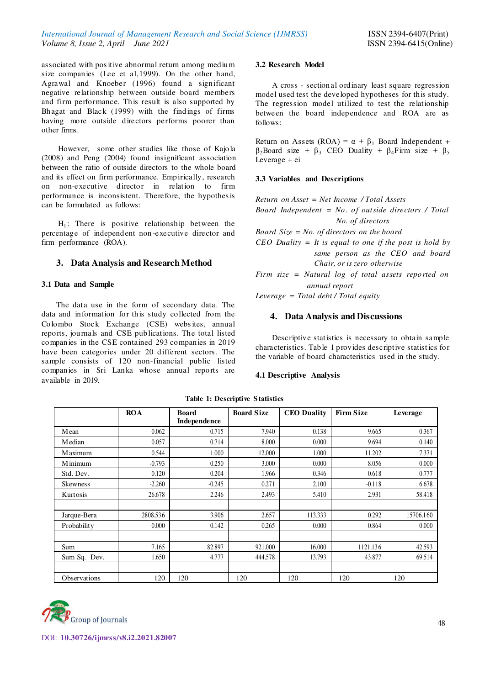associated with pos itive abnormal return among medium size companies (Lee et al,1999). On the other hand, Agrawal and Knoeber (1996) found a significant negative relationship between outside board members and firm performance. This result is also supported by Bhagat and Black (1999) with the findings of firms having more outside directors performs poorer than other firms.

However, some other studies like those of Kajola (2008) and Peng (2004) found insignificant association between the ratio of outside directors to the whole board and its effect on firm performance. Empirically, research on non-executive director in relation to firm performance is inconsistent. Therefore, the hypothes is can be formulated as follows:

 $H_1$ : There is positive relationship between the percentage of independent non -executive director and firm performance (ROA).

# **3. Data Analysis and Research Method**

## **3.1 Data and Sample**

The data use in the form of secondary data. The data and information for this study collected from the Colombo Stock Exchange (CSE) webs ites, annual reports, journals and CSE publications. The total listed companies in the CSE contained 293 companies in 2019 have been categories under 20 different sectors. The sample consists of 120 non-financial public listed companies in Sri Lanka whose annual reports are available in 2019.

#### **3.2 Research Model**

A cross - sectional ordinary least square regression model used test the developed hypotheses for this study. The regression model utilized to test the relationship between the board independence and ROA are as follows:

Return on Assets (ROA) =  $\alpha + \beta_1$  Board Independent +  $β<sub>2</sub>Board size + β<sub>3</sub> CEO Duality + β<sub>4</sub> Firm size + β<sub>5</sub>$ Leverage + ei

#### **3.3 Variables and Descriptions**

*Return on Asset = Net Income / Total Assets Board Independent = No. of outside directors / Total No. of directors Board Size = No. of directors on the board CEO Duality = It is equal to one if the post is hold by same person as the CEO and board Chair, or is zero otherwise Firm size = Natural log of total assets reported on annual report* 

*Leverage = Total debt / Total equity* 

## **4. Data Analysis and Discussions**

Descriptive statistics is necessary to obtain sample characteristics. Table 1 provides descriptive statist ics for the variable of board characteristics used in the study.

## **4.1 Descriptive Analysis**

|                     | <b>ROA</b> | <b>Board</b><br>Independence | <b>Board Size</b> | <b>CEO</b> Duality | <b>Firm Size</b> | Leverage  |
|---------------------|------------|------------------------------|-------------------|--------------------|------------------|-----------|
|                     |            |                              |                   |                    |                  |           |
| Mean                | 0.062      | 0.715                        | 7.940             | 0.138              | 9.665            | 0.367     |
| <b>M</b> edian      | 0.057      | 0.714                        | 8.000             | 0.000              | 9.694            | 0.140     |
| M aximum            | 0.544      | 1.000                        | 12.000            | 1.000              | 11.202           | 7.371     |
| M inimum            | $-0.793$   | 0.250                        | 3.000             | 0.000              | 8.056            | 0.000     |
| Std. Dev.           | 0.120      | 0.204                        | 1.966             | 0.346              | 0.618            | 0.777     |
| <b>Skewness</b>     | $-2.260$   | $-0.245$                     | 0.271             | 2.100              | $-0.118$         | 6.678     |
| Kurtosis            | 26.678     | 2.246                        | 2.493             | 5.410              | 2.931            | 58.418    |
|                     |            |                              |                   |                    |                  |           |
| Jarque-Bera         | 2808.536   | 3.906                        | 2.657             | 113.333            | 0.292            | 15706.160 |
| Probability         | 0.000      | 0.142                        | 0.265             | 0.000              | 0.864            | 0.000     |
|                     |            |                              |                   |                    |                  |           |
| Sum                 | 7.165      | 82.897                       | 921.000           | 16.000             | 1121.136         | 42.593    |
| Sum Sq. Dev.        | 1.650      | 4.777                        | 444.578           | 13.793             | 43.877           | 69.514    |
|                     |            |                              |                   |                    |                  |           |
| <b>Observations</b> | 120        | 120                          | 120               | 120                | 120              | 120       |

#### **Table 1: Descriptive S tatistics**

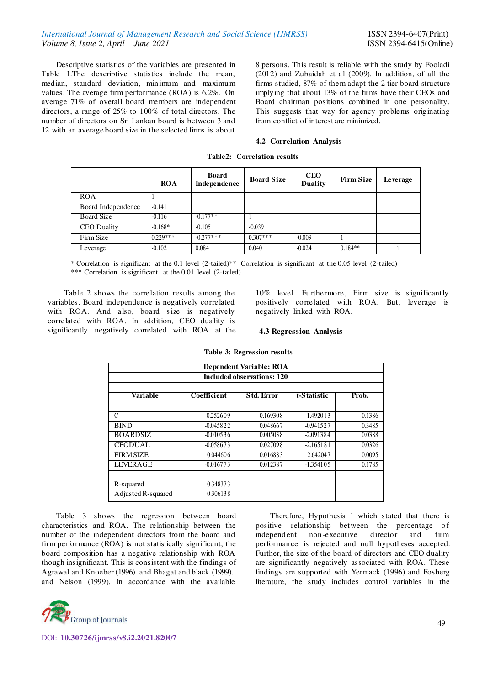Descriptive statistics of the variables are presented in Table 1.The descriptive statistics include the mean, median, standard deviation, minimum and maximum values. The average firm performance (ROA) is 6.2%. On average 71% of overall board members are independent directors, a range of 25% to 100% of total directors. The number of directors on Sri Lankan board is between 3 and 12 with an average board size in the selected firms is about

8 persons. This result is reliable with the study by Fooladi (2012) and Zubaidah et al (2009). In addition, of all the firms studied, 87% of them adapt the 2 tier board structure implying that about 13% of the firms have their CEOs and Board chairman positions combined in one personality. This suggests that way for agency problems originating from conflict of interest are minimized.

#### **4.2 Correlation Analysis**

|                    | <b>ROA</b> | Board<br>Independence | <b>Board Size</b> | <b>CEO</b><br><b>Duality</b> | <b>Firm Size</b> | Leverage |
|--------------------|------------|-----------------------|-------------------|------------------------------|------------------|----------|
| <b>ROA</b>         |            |                       |                   |                              |                  |          |
| Board Independence | $-0.141$   |                       |                   |                              |                  |          |
| <b>Board Size</b>  | $-0.116$   | $-0.177**$            |                   |                              |                  |          |
| <b>CEO</b> Duality | $-0.168*$  | $-0.105$              | $-0.039$          |                              |                  |          |
| Firm Size          | $0.229***$ | $-0.277***$           | $0.307***$        | $-0.009$                     |                  |          |
| Leverage           | $-0.102$   | 0.084                 | 0.040             | $-0.024$                     | $0.184**$        |          |

**Table2: Correlation results** 

\* Correlation is significant at the 0.1 level (2-tailed)\*\* Correlation is significant at the 0.05 level (2-tailed) \*\*\* Correlation is significant at the 0.01 level (2-tailed)

Table 2 shows the correlation results among the variables. Board independence is negatively correlated with ROA. And also, board size is negatively correlated with ROA. In addition, CEO duality is significantly negatively correlated with ROA at the 10% level. Furthermore, Firm size is significantly positively correlated with ROA. But, leverage is negatively linked with ROA.

#### **4.3 Regression Analysis**

| <b>Dependent Variable: ROA</b>    |             |                   |             |        |  |  |  |  |
|-----------------------------------|-------------|-------------------|-------------|--------|--|--|--|--|
| <b>Included observations: 120</b> |             |                   |             |        |  |  |  |  |
| Variable                          | Coefficient | <b>Std. Error</b> | t-Statistic | Prob.  |  |  |  |  |
| C                                 | $-0.252609$ | 0.169308          | $-1.492013$ | 0.1386 |  |  |  |  |
| <b>BIND</b>                       | $-0.045822$ | 0.048667          | $-0.941527$ | 0.3485 |  |  |  |  |
| <b>BOARDSIZ</b>                   | $-0.010536$ | 0.005038          | $-2.091384$ | 0.0388 |  |  |  |  |
| <b>CEODUAL</b>                    | $-0.058673$ | 0.027098          | $-2.165181$ | 0.0326 |  |  |  |  |
| <b>FIRM SIZE</b>                  | 0.044606    | 0.016883          | 2.642047    | 0.0095 |  |  |  |  |
| <b>LEVERAGE</b>                   | $-0.016773$ | 0.012387          | $-1.354105$ | 0.1785 |  |  |  |  |
| R-squared                         | 0.348373    |                   |             |        |  |  |  |  |
| Adjusted R-squared                | 0.306138    |                   |             |        |  |  |  |  |

#### **Table 3: Regression results**

Table 3 shows the regression between board characteristics and ROA. The relationship between the number of the independent directors from the board and firm performance (ROA) is not statistically significant; the board composition has a negative relationship with ROA though insignificant. This is consistent with the findings of Agrawal and Knoeber (1996) and Bhagat and black (1999). and Nelson (1999). In accordance with the available literature, the study includes control variables in the

Therefore, Hypothesis 1 which stated that there is positive relationship between the percentage of independent non -executive director and firm performance is rejected and null hypotheses accepted. Further, the size of the board of directors and CEO duality are significantly negatively associated with ROA. These findings are supported with Yermack (1996) and Fosberg